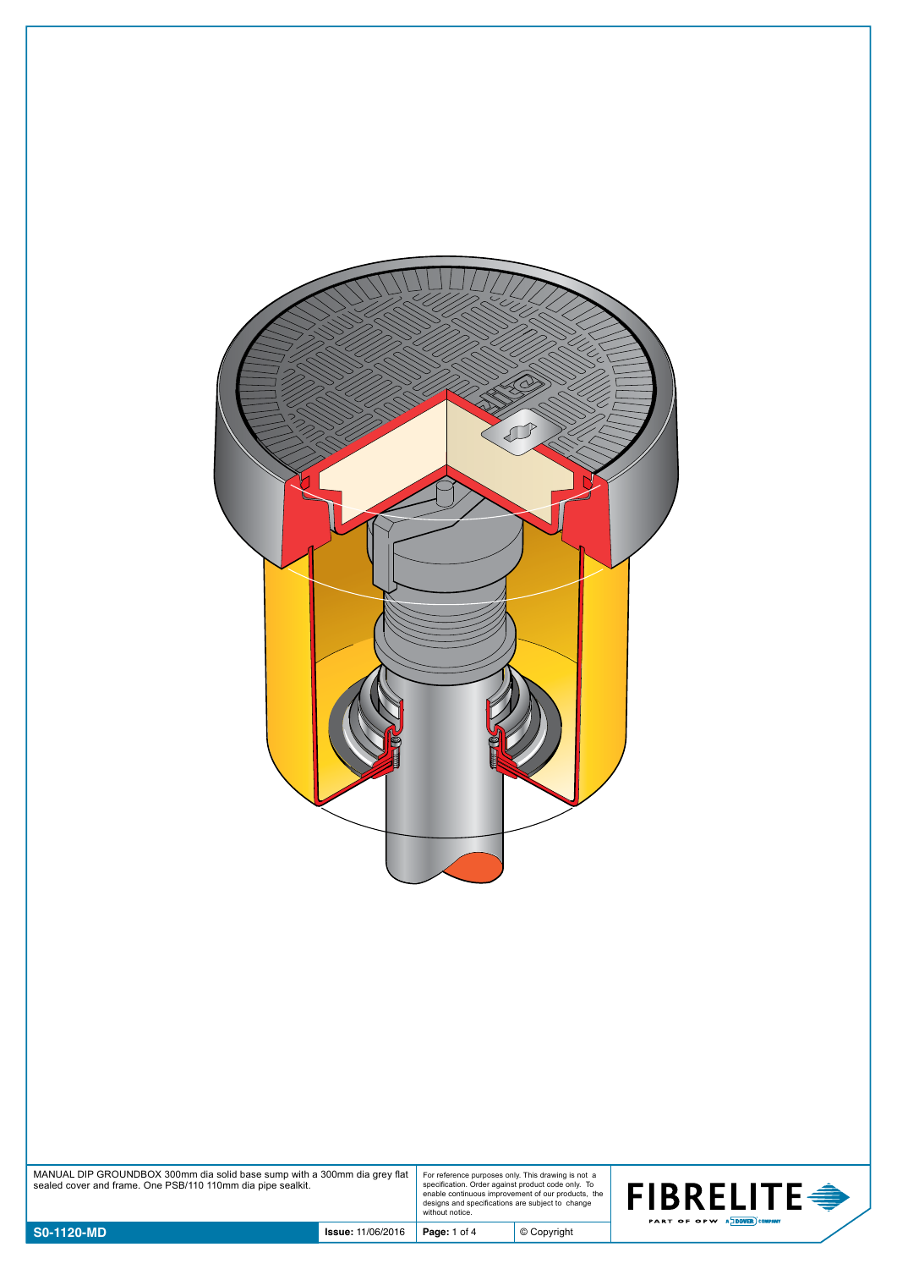

MANUAL DIP GROUNDBOX 300mm dia solid base sump with a 300mm dia grey flat sealed cover and frame. One PSB/110 110mm dia pipe sealkit.

For reference purposes only. This drawing is not a specification. Order against product code only. To enable continuous improvement of our products, the designs and specifications are subject to change without notice.

© Copyright

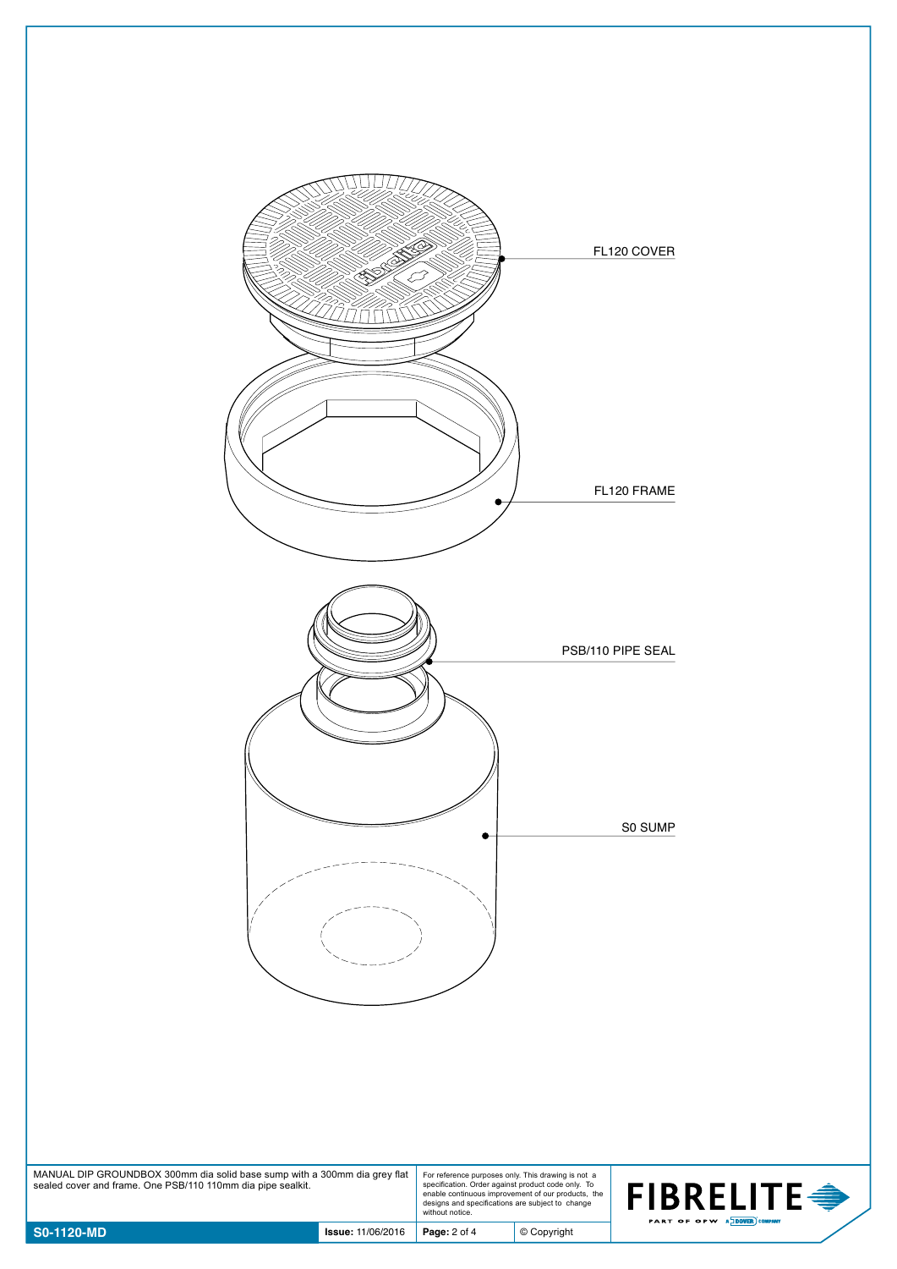

| MANUAL DIP GROUNDBOX 300mm dia solid base sump with a 300mm dia grey flat<br>sealed cover and frame. One PSB/110 110mm dia pipe sealkit. | For reference purposes only. This drawing is not a<br>specification. Order against product code only. To<br>enable continuous improvement of our products, the<br>designs and specifications are subject to change<br>without notice. |
|------------------------------------------------------------------------------------------------------------------------------------------|---------------------------------------------------------------------------------------------------------------------------------------------------------------------------------------------------------------------------------------|
|------------------------------------------------------------------------------------------------------------------------------------------|---------------------------------------------------------------------------------------------------------------------------------------------------------------------------------------------------------------------------------------|



© Copyright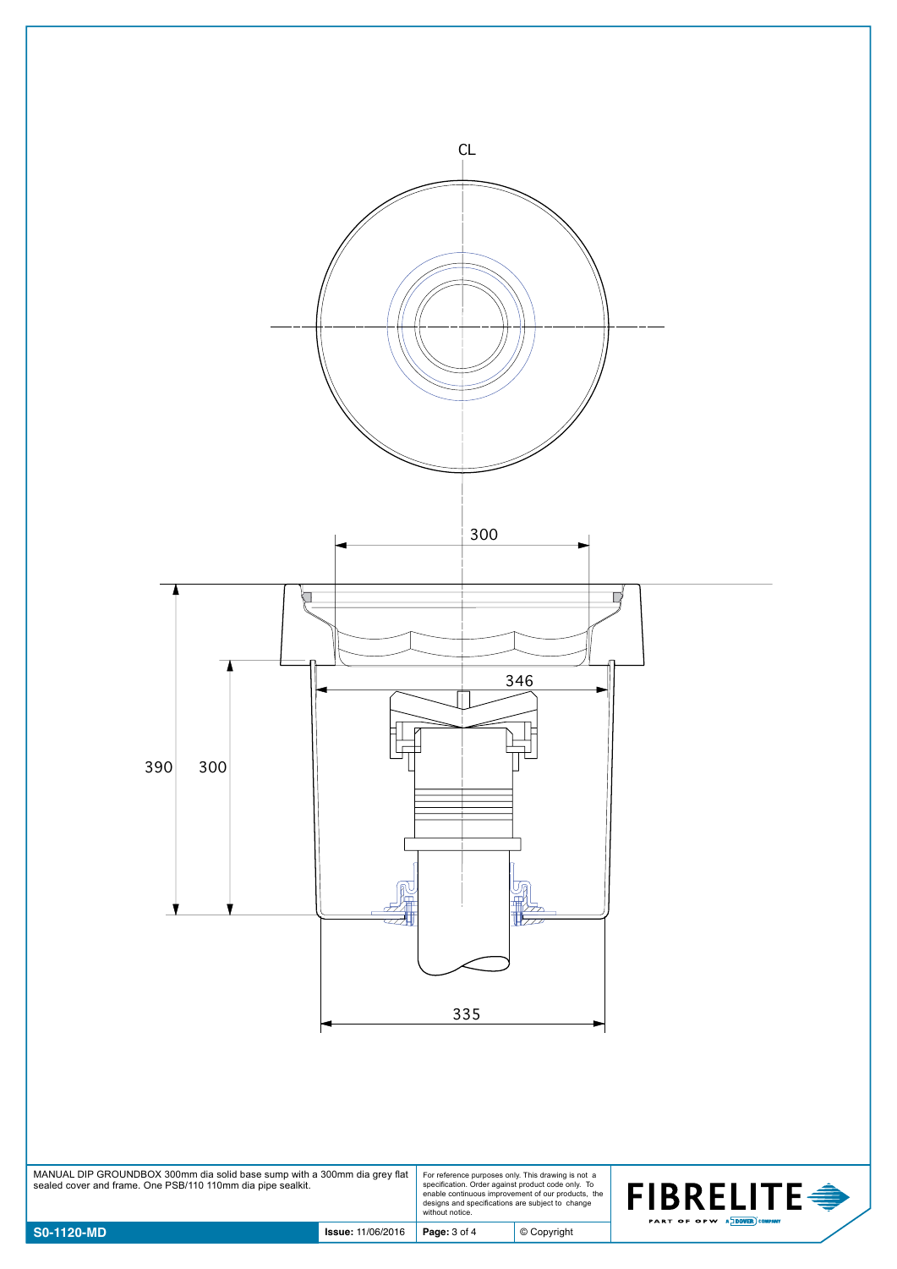